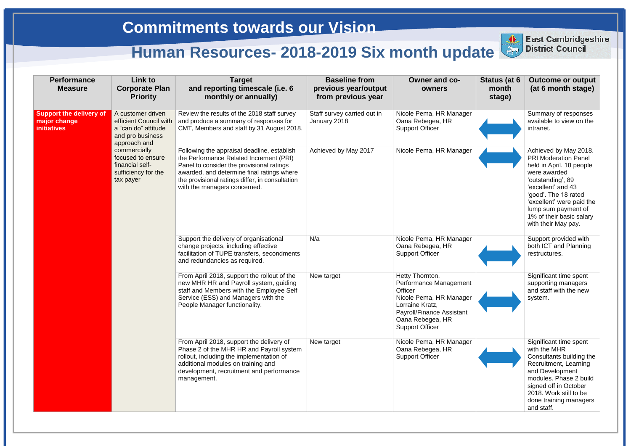| <b>Performance</b><br><b>Measure</b>                                 | Link to<br><b>Corporate Plan</b><br><b>Priority</b>                                                                                                                                                | <b>Target</b><br>and reporting timescale (i.e. 6<br>monthly or annually)                                                                                                                                                                                             | <b>Baseline from</b><br>previous year/output<br>from previous year | Owner and co-<br>owners                                                                                                                                                       | Status (at 6<br>month<br>stage) | <b>Outcome or output</b><br>(at 6 month stage)                                                                                                                                                                                                                             |
|----------------------------------------------------------------------|----------------------------------------------------------------------------------------------------------------------------------------------------------------------------------------------------|----------------------------------------------------------------------------------------------------------------------------------------------------------------------------------------------------------------------------------------------------------------------|--------------------------------------------------------------------|-------------------------------------------------------------------------------------------------------------------------------------------------------------------------------|---------------------------------|----------------------------------------------------------------------------------------------------------------------------------------------------------------------------------------------------------------------------------------------------------------------------|
| <b>Support the delivery of</b><br>major change<br><b>initiatives</b> | A customer driven<br>efficient Council with<br>a "can do" attitude<br>and pro business<br>approach and<br>commercially<br>focused to ensure<br>financial self-<br>sufficiency for the<br>tax payer | Review the results of the 2018 staff survey<br>and produce a summary of responses for<br>CMT, Members and staff by 31 August 2018.                                                                                                                                   | Staff survey carried out in<br>January 2018                        | Nicole Pema, HR Manager<br>Oana Rebegea, HR<br><b>Support Officer</b>                                                                                                         |                                 | Summary of responses<br>available to view on the<br>intranet.                                                                                                                                                                                                              |
|                                                                      |                                                                                                                                                                                                    | Following the appraisal deadline, establish<br>the Performance Related Increment (PRI)<br>Panel to consider the provisional ratings<br>awarded, and determine final ratings where<br>the provisional ratings differ, in consultation<br>with the managers concerned. | Achieved by May 2017                                               | Nicole Pema, HR Manager                                                                                                                                                       |                                 | Achieved by May 2018.<br><b>PRI Moderation Panel</b><br>held in April. 18 people<br>were awarded<br>'outstanding', 89<br>'excellent' and 43<br>'good'. The 18 rated<br>'excellent' were paid the<br>lump sum payment of<br>1% of their basic salary<br>with their May pay. |
|                                                                      |                                                                                                                                                                                                    | Support the delivery of organisational<br>change projects, including effective<br>facilitation of TUPE transfers, secondments<br>and redundancies as required.                                                                                                       | N/a                                                                | Nicole Pema, HR Manager<br>Oana Rebegea, HR<br><b>Support Officer</b>                                                                                                         |                                 | Support provided with<br>both ICT and Planning<br>restructures.                                                                                                                                                                                                            |
|                                                                      |                                                                                                                                                                                                    | From April 2018, support the rollout of the<br>new MHR HR and Payroll system, guiding<br>staff and Members with the Employee Self<br>Service (ESS) and Managers with the<br>People Manager functionality.                                                            | New target                                                         | Hetty Thornton,<br>Performance Management<br>Officer<br>Nicole Pema, HR Manager<br>Lorraine Kratz,<br>Payroll/Finance Assistant<br>Oana Rebegea, HR<br><b>Support Officer</b> |                                 | Significant time spent<br>supporting managers<br>and staff with the new<br>system.                                                                                                                                                                                         |
|                                                                      |                                                                                                                                                                                                    | From April 2018, support the delivery of<br>Phase 2 of the MHR HR and Payroll system<br>rollout, including the implementation of<br>additional modules on training and<br>development, recruitment and performance<br>management.                                    | New target                                                         | Nicole Pema, HR Manager<br>Oana Rebegea, HR<br><b>Support Officer</b>                                                                                                         |                                 | Significant time spent<br>with the MHR<br>Consultants building the<br>Recruitment, Learning<br>and Development<br>modules. Phase 2 build<br>signed off in October<br>2018. Work still to be<br>done training managers<br>and staff.                                        |



**East Cambridgeshire District Council**

**East Cambridgeshire** 

## **Commitments towards our Vision**

## **Human Resources- 2018-2019 Six month update**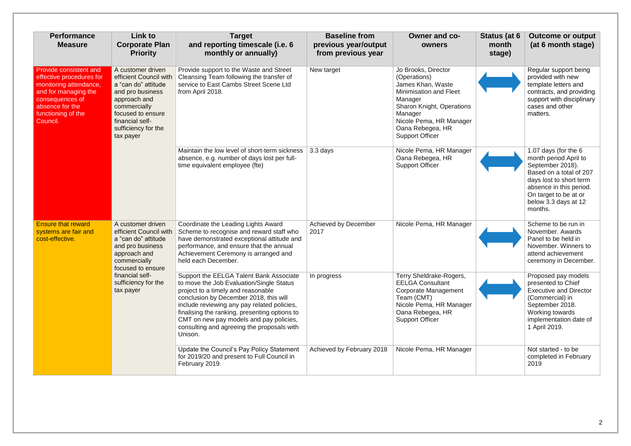| <b>Performance</b><br><b>Measure</b>                                                                                                                                         | Link to<br><b>Corporate Plan</b><br><b>Priority</b>                                                                                                                                                | <b>Target</b><br>and reporting timescale (i.e. 6<br>monthly or annually)                                                                                                                                                                                                                                                                                                | <b>Baseline from</b><br>previous year/output<br>from previous year | <b>Owner and co-</b><br>owners                                                                                                                                                                                               | Status (at 6<br>month<br>stage) | <b>Outcome or output</b><br>(at 6 month stage)                                                                                                                                                                 |
|------------------------------------------------------------------------------------------------------------------------------------------------------------------------------|----------------------------------------------------------------------------------------------------------------------------------------------------------------------------------------------------|-------------------------------------------------------------------------------------------------------------------------------------------------------------------------------------------------------------------------------------------------------------------------------------------------------------------------------------------------------------------------|--------------------------------------------------------------------|------------------------------------------------------------------------------------------------------------------------------------------------------------------------------------------------------------------------------|---------------------------------|----------------------------------------------------------------------------------------------------------------------------------------------------------------------------------------------------------------|
| Provide consistent and<br>effective procedures for<br>monitoring attendance,<br>and for managing the<br>consequences of<br>absence for the<br>functioning of the<br>Council. | A customer driven<br>efficient Council with<br>a "can do" attitude<br>and pro business<br>approach and<br>commercially<br>focused to ensure<br>financial self-<br>sufficiency for the<br>tax payer | Provide support to the Waste and Street<br>Cleansing Team following the transfer of<br>service to East Cambs Street Scene Ltd<br>from April 2018.                                                                                                                                                                                                                       | New target                                                         | Jo Brooks, Director<br>(Operations)<br>James Khan, Waste<br><b>Minimisation and Fleet</b><br>Manager<br><b>Sharon Knight, Operations</b><br>Manager<br>Nicole Pema, HR Manager<br>Oana Rebegea, HR<br><b>Support Officer</b> |                                 | Regular support being<br>provided with new<br>template letters and<br>contracts, and providing<br>support with disciplinary<br>cases and other<br>matters.                                                     |
|                                                                                                                                                                              |                                                                                                                                                                                                    | Maintain the low level of short-term sickness<br>absence, e.g. number of days lost per full-<br>time equivalent employee (fte)                                                                                                                                                                                                                                          | 3.3 days                                                           | Nicole Pema, HR Manager<br>Oana Rebegea, HR<br><b>Support Officer</b>                                                                                                                                                        |                                 | 1.07 days (for the 6<br>month period April to<br>September 2018).<br>Based on a total of 207<br>days lost to short term<br>absence in this period.<br>On target to be at or<br>below 3.3 days at 12<br>months. |
| <b>Ensure that reward</b><br>systems are fair and<br>cost-effective.                                                                                                         | A customer driven<br>efficient Council with<br>a "can do" attitude<br>and pro business<br>approach and<br>commercially<br>focused to ensure<br>financial self-<br>sufficiency for the<br>tax payer | Coordinate the Leading Lights Award<br>Scheme to recognise and reward staff who<br>have demonstrated exceptional attitude and<br>performance, and ensure that the annual<br>Achievement Ceremony is arranged and<br>held each December.                                                                                                                                 | Achieved by December<br>2017                                       | Nicole Pema, HR Manager                                                                                                                                                                                                      |                                 | Scheme to be run in<br>November. Awards<br>Panel to be held in<br>November. Winners to<br>attend achievement<br>ceremony in December.                                                                          |
|                                                                                                                                                                              |                                                                                                                                                                                                    | Support the EELGA Talent Bank Associate<br>to move the Job Evaluation/Single Status<br>project to a timely and reasonable<br>conclusion by December 2018, this will<br>include reviewing any pay related policies,<br>finalising the ranking, presenting options to<br>CMT on new pay models and pay policies,<br>consulting and agreeing the proposals with<br>Unison. | In progress                                                        | Terry Sheldrake-Rogers,<br><b>EELGA Consultant</b><br><b>Corporate Management</b><br>Team (CMT)<br>Nicole Pema, HR Manager<br>Oana Rebegea, HR<br><b>Support Officer</b>                                                     |                                 | Proposed pay models<br>presented to Chief<br><b>Executive and Director</b><br>(Commercial) in<br>September 2018.<br>Working towards<br>implementation date of<br>1 April 2019.                                 |
|                                                                                                                                                                              |                                                                                                                                                                                                    | Update the Council's Pay Policy Statement<br>for 2019/20 and present to Full Council in<br>February 2019.                                                                                                                                                                                                                                                               | Achieved by February 2018                                          | Nicole Pema, HR Manager                                                                                                                                                                                                      |                                 | Not started - to be<br>completed in February<br>2019                                                                                                                                                           |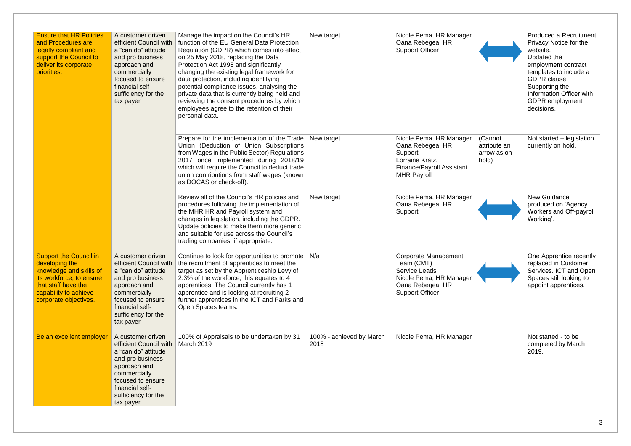| <b>Ensure that HR Policies</b><br>and Procedures are<br>legally compliant and<br>support the Council to<br>deliver its corporate<br>priorities.                                 | A customer driven<br>efficient Council with<br>a "can do" attitude<br>and pro business<br>approach and<br>commercially<br>focused to ensure<br>financial self-<br>sufficiency for the<br>tax payer | Manage the impact on the Council's HR<br>function of the EU General Data Protection<br>Regulation (GDPR) which comes into effect<br>on 25 May 2018, replacing the Data<br>Protection Act 1998 and significantly<br>changing the existing legal framework for<br>data protection, including identifying<br>potential compliance issues, analysing the<br>private data that is currently being held and<br>reviewing the consent procedures by which<br>employees agree to the retention of their<br>personal data. | New target                       | Nicole Pema, HR Manager<br>Oana Rebegea, HR<br><b>Support Officer</b>                                                               |                                                 | <b>Produced a Recruitment</b><br>Privacy Notice for the<br>website.<br>Updated the<br>employment contract<br>templates to include a<br>GDPR clause.<br>Supporting the<br>Information Officer with<br>GDPR employment<br>decisions. |
|---------------------------------------------------------------------------------------------------------------------------------------------------------------------------------|----------------------------------------------------------------------------------------------------------------------------------------------------------------------------------------------------|-------------------------------------------------------------------------------------------------------------------------------------------------------------------------------------------------------------------------------------------------------------------------------------------------------------------------------------------------------------------------------------------------------------------------------------------------------------------------------------------------------------------|----------------------------------|-------------------------------------------------------------------------------------------------------------------------------------|-------------------------------------------------|------------------------------------------------------------------------------------------------------------------------------------------------------------------------------------------------------------------------------------|
|                                                                                                                                                                                 |                                                                                                                                                                                                    | Prepare for the implementation of the Trade<br>Union (Deduction of Union Subscriptions<br>from Wages in the Public Sector) Regulations<br>2017 once implemented during 2018/19<br>which will require the Council to deduct trade<br>union contributions from staff wages (known<br>as DOCAS or check-off).                                                                                                                                                                                                        | New target                       | Nicole Pema, HR Manager<br>Oana Rebegea, HR<br>Support<br>Lorraine Kratz,<br>Finance/Payroll Assistant<br><b>MHR Payroll</b>        | (Cannot<br>attribute an<br>arrow as on<br>hold) | Not started – legislation<br>currently on hold.                                                                                                                                                                                    |
|                                                                                                                                                                                 |                                                                                                                                                                                                    | Review all of the Council's HR policies and<br>procedures following the implementation of<br>the MHR HR and Payroll system and<br>changes in legislation, including the GDPR.<br>Update policies to make them more generic<br>and suitable for use across the Council's<br>trading companies, if appropriate.                                                                                                                                                                                                     | New target                       | Nicole Pema, HR Manager<br>Oana Rebegea, HR<br>Support                                                                              |                                                 | New Guidance<br>produced on 'Agency<br>Workers and Off-payroll<br>Working'.                                                                                                                                                        |
| <b>Support the Council in</b><br>developing the<br>knowledge and skills of<br>its workforce, to ensure<br>that staff have the<br>capability to achieve<br>corporate objectives. | A customer driven<br>efficient Council with<br>a "can do" attitude<br>and pro business<br>approach and<br>commercially<br>focused to ensure<br>financial self-<br>sufficiency for the<br>tax payer | Continue to look for opportunities to promote   N/a<br>the recruitment of apprentices to meet the<br>target as set by the Apprenticeship Levy of<br>2.3% of the workforce, this equates to 4<br>apprentices. The Council currently has 1<br>apprentice and is looking at recruiting 2<br>further apprentices in the ICT and Parks and<br>Open Spaces teams.                                                                                                                                                       |                                  | <b>Corporate Management</b><br>Team (CMT)<br>Service Leads<br>Nicole Pema, HR Manager<br>Oana Rebegea, HR<br><b>Support Officer</b> |                                                 | One Apprentice recently<br>replaced in Customer<br>Services. ICT and Open<br>Spaces still looking to<br>appoint apprentices.                                                                                                       |
| Be an excellent employer                                                                                                                                                        | A customer driven<br>efficient Council with<br>a "can do" attitude<br>and pro business<br>approach and<br>commercially<br>focused to ensure<br>financial self-<br>sufficiency for the<br>tax payer | 100% of Appraisals to be undertaken by 31<br>March 2019                                                                                                                                                                                                                                                                                                                                                                                                                                                           | 100% - achieved by March<br>2018 | Nicole Pema, HR Manager                                                                                                             |                                                 | Not started - to be<br>completed by March<br>2019.                                                                                                                                                                                 |